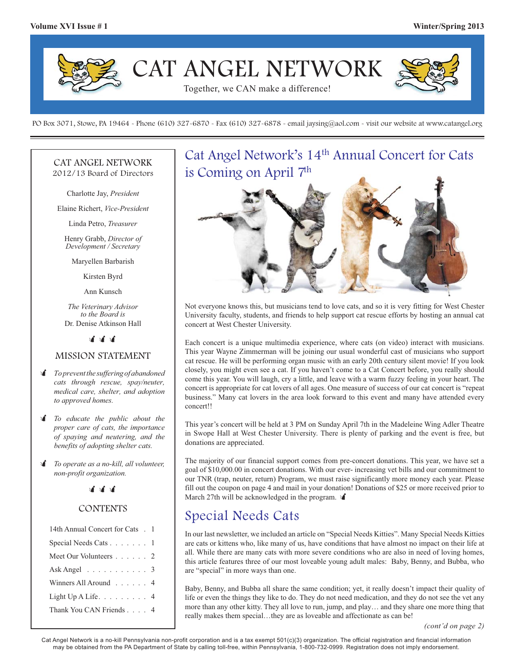

PO Box 3071, Stowe, PA 19464 - Phone (610) 327-6870 - Fax (610) 327-6878 - email jaysing@aol.com - visit our website at www.catangel.org

#### CAT ANGEL NETWORK 2012/13 Board of Directors

Charlotte Jay, *President*

Elaine Richert, *Vice-President*

Linda Petro, *Treasurer*

Henry Grabb, *Director of Development / Secretary*

Maryellen Barbarish

Kirsten Byrd

Ann Kunsch

*The Veterinary Advisor to the Board is*  Dr. Denise Atkinson Hall

> $\mathbf{r}$  $\mathbf{r}$  $\mathbf{r}$

#### MISSION STATEMENT

- - *To prevent the suffering of abandoned cats through rescue, spay/neuter, medical care, shelter, and adoption to approved homes.*
- $\mathbf{r}$  *To educate the public about the proper care of cats, the importance of spaying and neutering, and the benefits of adopting shelter cats.*
- $\mathbf{r}$  *To operate as a no-kill, all volunteer, non-profit organization.*

### .<br>जीवी जी

#### **CONTENTS**

| 14th Annual Concert for Cats . 1            |  |
|---------------------------------------------|--|
| Special Needs Cats 1                        |  |
| Meet Our Volunteers 2                       |  |
| Ask Angel $\ldots \ldots \ldots \ldots 3$   |  |
| Winners All Around 4                        |  |
| Light $Up$ A Life. $\ldots \ldots \ldots 4$ |  |
| Thank You CAN Friends 4                     |  |
|                                             |  |

# Cat Angel Network's 14<sup>th</sup> Annual Concert for Cats is Coming on April 7th



Not everyone knows this, but musicians tend to love cats, and so it is very fitting for West Chester University faculty, students, and friends to help support cat rescue efforts by hosting an annual cat concert at West Chester University.

Each concert is a unique multimedia experience, where cats (on video) interact with musicians. This year Wayne Zimmerman will be joining our usual wonderful cast of musicians who support cat rescue. He will be performing organ music with an early 20th century silent movie! If you look closely, you might even see a cat. If you haven't come to a Cat Concert before, you really should come this year. You will laugh, cry a little, and leave with a warm fuzzy feeling in your heart. The concert is appropriate for cat lovers of all ages. One measure of success of our cat concert is "repeat business." Many cat lovers in the area look forward to this event and many have attended every concert!!

This year's concert will be held at 3 PM on Sunday April 7th in the Madeleine Wing Adler Theatre in Swope Hall at West Chester University. There is plenty of parking and the event is free, but donations are appreciated.

The majority of our financial support comes from pre-concert donations. This year, we have set a goal of \$10,000.00 in concert donations. With our ever- increasing vet bills and our commitment to our TNR (trap, neuter, return) Program, we must raise significantly more money each year. Please fill out the coupon on page 4 and mail in your donation! Donations of \$25 or more received prior to March 27th will be acknowledged in the program.  $\mathbf{\hat{I}}$ 

## Special Needs Cats

In our last newsletter, we included an article on "Special Needs Kitties". Many Special Needs Kitties are cats or kittens who, like many of us, have conditions that have almost no impact on their life at all. While there are many cats with more severe conditions who are also in need of loving homes, this article features three of our most loveable young adult males: Baby, Benny, and Bubba, who are "special" in more ways than one.

Baby, Benny, and Bubba all share the same condition; yet, it really doesn't impact their quality of life or even the things they like to do. They do not need medication, and they do not see the vet any more than any other kitty. They all love to run, jump, and play… and they share one more thing that really makes them special…they are as loveable and affectionate as can be!

Cat Angel Network is a no-kill Pennsylvania non-profit corporation and is a tax exempt 501(c)(3) organization. The official registration and financial information may be obtained from the PA Department of State by calling toll-free, within Pennsylvania, 1-800-732-0999. Registration does not imply endorsement.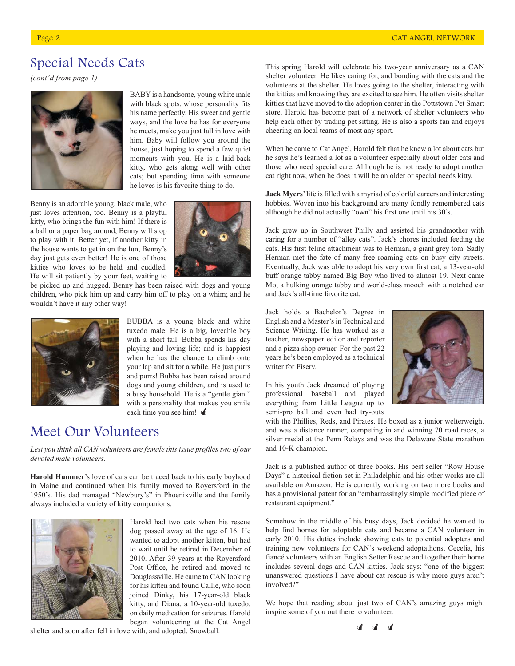# Special Needs Cats

*(cont'd from page 1)*



BABY is a handsome, young white male with black spots, whose personality fits his name perfectly. His sweet and gentle ways, and the love he has for everyone he meets, make you just fall in love with him. Baby will follow you around the house, just hoping to spend a few quiet moments with you. He is a laid-back kitty, who gets along well with other cats; but spending time with someone he loves is his favorite thing to do.

Benny is an adorable young, black male, who just loves attention, too. Benny is a playful kitty, who brings the fun with him! If there is a ball or a paper bag around, Benny will stop to play with it. Better yet, if another kitty in the house wants to get in on the fun, Benny's day just gets even better! He is one of those kitties who loves to be held and cuddled. He will sit patiently by your feet, waiting to



be picked up and hugged. Benny has been raised with dogs and young children, who pick him up and carry him off to play on a whim; and he wouldn't have it any other way!



BUBBA is a young black and white tuxedo male. He is a big, loveable boy with a short tail. Bubba spends his day playing and loving life; and is happiest when he has the chance to climb onto your lap and sit for a while. He just purrs and purrs! Bubba has been raised around dogs and young children, and is used to a busy household. He is a "gentle giant" with a personality that makes you smile each time you see him!  $\triangleleft$ 

## Meet Our Volunteers

*Lest you think all CAN volunteers are female this issue profiles two of our devoted male volunteers.*

**Harold Hummer**'s love of cats can be traced back to his early boyhood in Maine and continued when his family moved to Royersford in the 1950's. His dad managed "Newbury's" in Phoenixville and the family always included a variety of kitty companions.



Harold had two cats when his rescue dog passed away at the age of 16. He wanted to adopt another kitten, but had to wait until he retired in December of 2010. After 39 years at the Royersford Post Office, he retired and moved to Douglassville. He came to CAN looking for his kitten and found Callie, who soon joined Dinky, his 17-year-old black kitty, and Diana, a 10-year-old tuxedo, on daily medication for seizures. Harold began volunteering at the Cat Angel

shelter and soon after fell in love with, and adopted, Snowball.

This spring Harold will celebrate his two-year anniversary as a CAN shelter volunteer. He likes caring for, and bonding with the cats and the volunteers at the shelter. He loves going to the shelter, interacting with the kitties and knowing they are excited to see him. He often visits shelter kitties that have moved to the adoption center in the Pottstown Pet Smart store. Harold has become part of a network of shelter volunteers who help each other by trading pet sitting. He is also a sports fan and enjoys cheering on local teams of most any sport.

When he came to Cat Angel, Harold felt that he knew a lot about cats but he says he's learned a lot as a volunteer especially about older cats and those who need special care. Although he is not ready to adopt another cat right now, when he does it will be an older or special needs kitty.

**Jack Myers**' life is filled with a myriad of colorful careers and interesting hobbies. Woven into his background are many fondly remembered cats although he did not actually "own" his first one until his 30's.

Jack grew up in Southwest Philly and assisted his grandmother with caring for a number of "alley cats". Jack's chores included feeding the cats. His first feline attachment was to Herman, a giant grey tom. Sadly Herman met the fate of many free roaming cats on busy city streets. Eventually, Jack was able to adopt his very own first cat, a 13-year-old buff orange tabby named Big Boy who lived to almost 19. Next came Mo, a hulking orange tabby and world-class mooch with a notched ear and Jack's all-time favorite cat.

Jack holds a Bachelor's Degree in English and a Master's in Technical and Science Writing. He has worked as a teacher, newspaper editor and reporter and a pizza shop owner. For the past 22 years he's been employed as a technical writer for Fiserv.

In his youth Jack dreamed of playing professional baseball and played everything from Little League up to semi-pro ball and even had try-outs



with the Phillies, Reds, and Pirates. He boxed as a junior welterweight and was a distance runner, competing in and winning 70 road races, a silver medal at the Penn Relays and was the Delaware State marathon and 10-K champion.

Jack is a published author of three books. His best seller "Row House Days" a historical fiction set in Philadelphia and his other works are all available on Amazon. He is currently working on two more books and has a provisional patent for an "embarrassingly simple modified piece of restaurant equipment."

Somehow in the middle of his busy days, Jack decided he wanted to help find homes for adoptable cats and became a CAN volunteer in early 2010. His duties include showing cats to potential adopters and training new volunteers for CAN's weekend adoptathons. Cecelia, his fiancé volunteers with an English Setter Rescue and together their home includes several dogs and CAN kitties. Jack says: "one of the biggest unanswered questions I have about cat rescue is why more guys aren't involved?"

We hope that reading about just two of CAN's amazing guys might inspire some of you out there to volunteer.

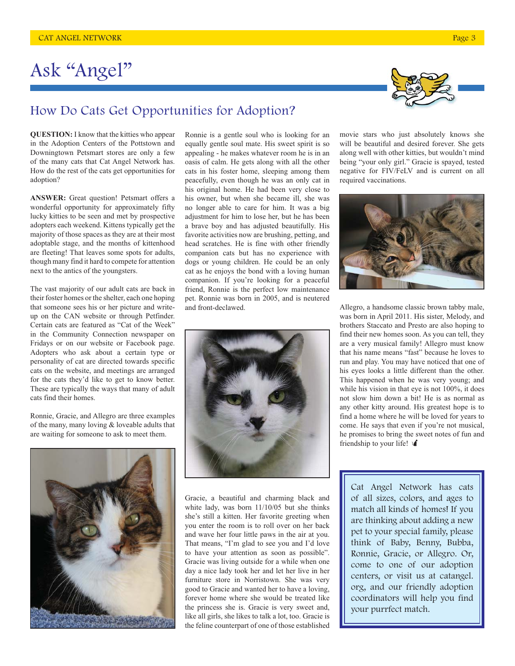# Ask "Angel"



## How Do Cats Get Opportunities for Adoption?

**QUESTION:** I know that the kitties who appear in the Adoption Centers of the Pottstown and Downingtown Petsmart stores are only a few of the many cats that Cat Angel Network has. How do the rest of the cats get opportunities for adoption?

**ANSWER:** Great question! Petsmart offers a wonderful opportunity for approximately fifty lucky kitties to be seen and met by prospective adopters each weekend. Kittens typically get the majority of those spaces as they are at their most adoptable stage, and the months of kittenhood are fleeting! That leaves some spots for adults, though many find it hard to compete for attention next to the antics of the youngsters.

The vast majority of our adult cats are back in their foster homes or the shelter, each one hoping that someone sees his or her picture and writeup on the CAN website or through Petfinder. Certain cats are featured as "Cat of the Week" in the Community Connection newspaper on Fridays or on our website or Facebook page. Adopters who ask about a certain type or personality of cat are directed towards specific cats on the website, and meetings are arranged for the cats they'd like to get to know better. These are typically the ways that many of adult cats find their homes.

Ronnie, Gracie, and Allegro are three examples of the many, many loving & loveable adults that are waiting for someone to ask to meet them.



Ronnie is a gentle soul who is looking for an equally gentle soul mate. His sweet spirit is so appealing - he makes whatever room he is in an oasis of calm. He gets along with all the other cats in his foster home, sleeping among them peacefully, even though he was an only cat in his original home. He had been very close to his owner, but when she became ill, she was no longer able to care for him. It was a big adjustment for him to lose her, but he has been a brave boy and has adjusted beautifully. His favorite activities now are brushing, petting, and head scratches. He is fine with other friendly companion cats but has no experience with dogs or young children. He could be an only cat as he enjoys the bond with a loving human companion. If you're looking for a peaceful friend, Ronnie is the perfect low maintenance pet. Ronnie was born in 2005, and is neutered and front-declawed.



Gracie, a beautiful and charming black and white lady, was born 11/10/05 but she thinks she's still a kitten. Her favorite greeting when you enter the room is to roll over on her back and wave her four little paws in the air at you. That means, "I'm glad to see you and I'd love to have your attention as soon as possible". Gracie was living outside for a while when one day a nice lady took her and let her live in her furniture store in Norristown. She was very good to Gracie and wanted her to have a loving, forever home where she would be treated like the princess she is. Gracie is very sweet and, like all girls, she likes to talk a lot, too. Gracie is the feline counterpart of one of those established movie stars who just absolutely knows she will be beautiful and desired forever. She gets along well with other kitties, but wouldn't mind being "your only girl." Gracie is spayed, tested negative for FIV/FeLV and is current on all required vaccinations.



Allegro, a handsome classic brown tabby male, was born in April 2011. His sister, Melody, and brothers Staccato and Presto are also hoping to find their new homes soon. As you can tell, they are a very musical family! Allegro must know that his name means "fast" because he loves to run and play. You may have noticed that one of his eyes looks a little different than the other. This happened when he was very young; and while his vision in that eye is not 100%, it does not slow him down a bit! He is as normal as any other kitty around. His greatest hope is to find a home where he will be loved for years to come. He says that even if you're not musical, he promises to bring the sweet notes of fun and friendship to your life!  $\triangleleft$ 

Cat Angel Network has cats of all sizes, colors, and ages to match all kinds of homes! If you are thinking about adding a new pet to your special family, please think of Baby, Benny, Bubba, Ronnie, Gracie, or Allegro. Or, come to one of our adoption centers, or visit us at catangel. org, and our friendly adoption coordinators will help you find your purrfect match.